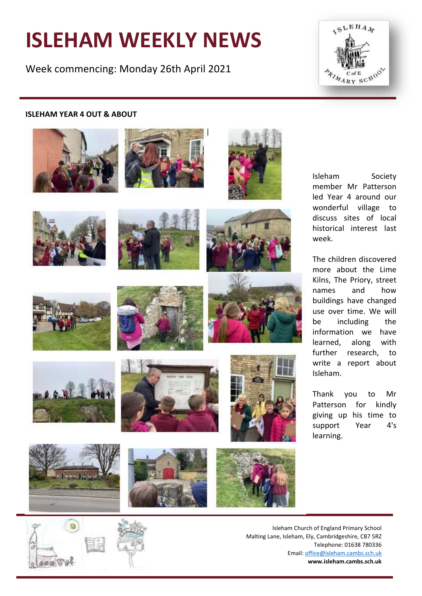# **ISLEHAM WEEKLY NEWS**

Week commencing: Monday 26th April 2021



#### **ISLEHAM YEAR 4 OUT & ABOUT**



















Isleham Society member Mr Patterson led Year 4 around our wonderful village to discuss sites of local historical interest last week.

The children discovered more about the Lime Kilns, The Priory, street names and how buildings have changed use over time. We will be including the information we have learned, along with further research, to write a report about Isleham.

Thank you to Mr Patterson for kindly giving up his time to support Year 4's learning.



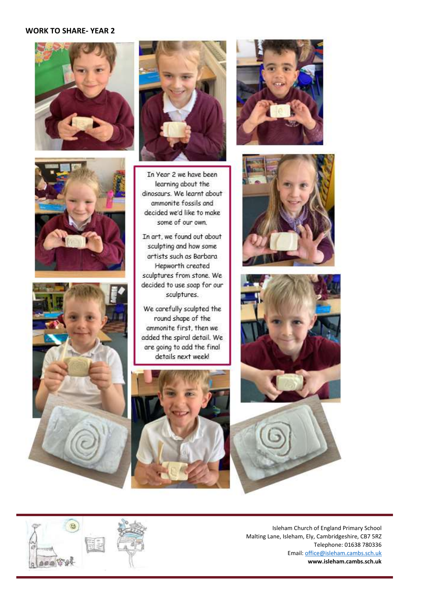#### **WORK TO SHARE- YEAR 2**









In Year 2 we have been learning about the dinosaurs. We learnt about ammonite fossils and decided we'd like to make some of our own.

In art, we found out about sculpting and how some artists such as Barbara Hepworth created sculptures from stone. We decided to use soap for our sculptures.

We carefully sculpted the round shape of the ammonite first, then we added the spiral detail. We are going to add the final details next week!













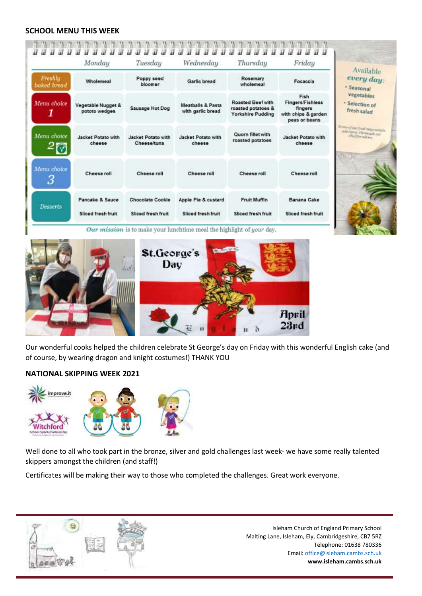#### **SCHOOL MENU THIS WEEK**



Our wonderful cooks helped the children celebrate St George's day on Friday with this wonderful English cake (and of course, by wearing dragon and knight costumes!) THANK YOU

## **NATIONAL SKIPPING WEEK 2021**



 $\begin{array}{c} \hline \end{array}$ 

Well done to all who took part in the bronze, silver and gold challenges last week- we have some really talented skippers amongst the children (and staff!)

Certificates will be making their way to those who completed the challenges. Great work everyone.



Isleham Church of England Primary School Malting Lane, Isleham, Ely, Cambridgeshire, CB7 5RZ Telephone: 01638 780336 Email[: office@isleham.cambs.sch.uk](mailto:office@isleham.cambs.sch.uk) **www.isleham.cambs.sch.uk**

 $23rd$ 

h 'n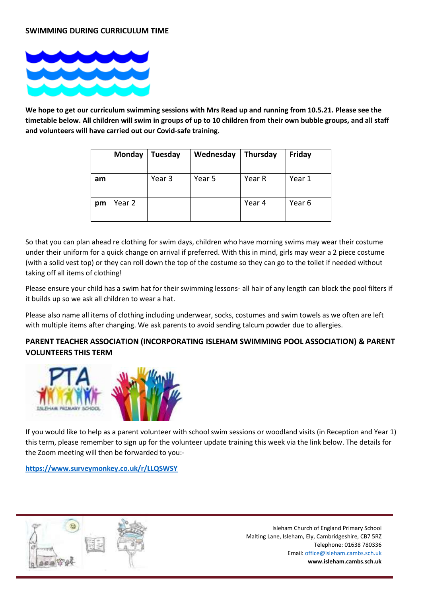

**We hope to get our curriculum swimming sessions with Mrs Read up and running from 10.5.21. Please see the timetable below. All children will swim in groups of up to 10 children from their own bubble groups, and all staff and volunteers will have carried out our Covid-safe training.**

|    | <b>Monday</b> | Tuesday | Wednesday | Thursday | Friday |
|----|---------------|---------|-----------|----------|--------|
| am |               | Year 3  | Year 5    | Year R   | Year 1 |
| pm | Year 2        |         |           | Year 4   | Year 6 |

So that you can plan ahead re clothing for swim days, children who have morning swims may wear their costume under their uniform for a quick change on arrival if preferred. With this in mind, girls may wear a 2 piece costume (with a solid vest top) or they can roll down the top of the costume so they can go to the toilet if needed without taking off all items of clothing!

Please ensure your child has a swim hat for their swimming lessons- all hair of any length can block the pool filters if it builds up so we ask all children to wear a hat.

Please also name all items of clothing including underwear, socks, costumes and swim towels as we often are left with multiple items after changing. We ask parents to avoid sending talcum powder due to allergies.

## **PARENT TEACHER ASSOCIATION (INCORPORATING ISLEHAM SWIMMING POOL ASSOCIATION) & PARENT VOLUNTEERS THIS TERM**



If you would like to help as a parent volunteer with school swim sessions or woodland visits (in Reception and Year 1) this term, please remember to sign up for the volunteer update training this week via the link below. The details for the Zoom meeting will then be forwarded to you:-

**<https://www.surveymonkey.co.uk/r/LLQSWSY>**

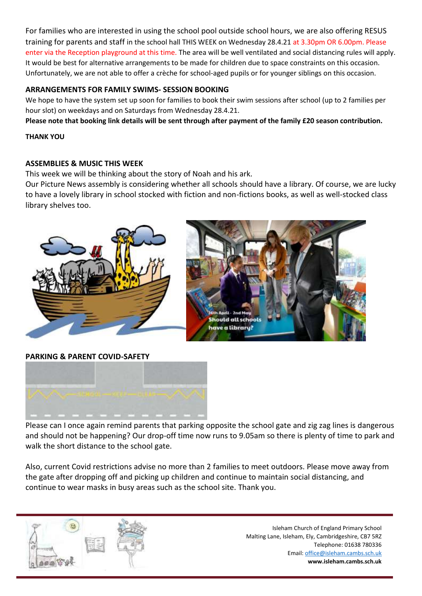For families who are interested in using the school pool outside school hours, we are also offering RESUS training for parents and staff in the school hall THIS WEEK on Wednesday 28.4.21 at 3.30pm OR 6.00pm. Please enter via the Reception playground at this time. The area will be well ventilated and social distancing rules will apply. It would be best for alternative arrangements to be made for children due to space constraints on this occasion. Unfortunately, we are not able to offer a crèche for school-aged pupils or for younger siblings on this occasion.

## **ARRANGEMENTS FOR FAMILY SWIMS- SESSION BOOKING**

We hope to have the system set up soon for families to book their swim sessions after school (up to 2 families per hour slot) on weekdays and on Saturdays from Wednesday 28.4.21.

**Please note that booking link details will be sent through after payment of the family £20 season contribution.**

#### **THANK YOU**

## **ASSEMBLIES & MUSIC THIS WEEK**

This week we will be thinking about the story of Noah and his ark.

Our Picture News assembly is considering whether all schools should have a library. Of course, we are lucky to have a lovely library in school stocked with fiction and non-fictions books, as well as well-stocked class library shelves too.



**PARKING & PARENT COVID-SAFETY**



Please can I once again remind parents that parking opposite the school gate and zig zag lines is dangerous and should not be happening? Our drop-off time now runs to 9.05am so there is plenty of time to park and walk the short distance to the school gate.

Also, current Covid restrictions advise no more than 2 families to meet outdoors. Please move away from the gate after dropping off and picking up children and continue to maintain social distancing, and continue to wear masks in busy areas such as the school site. Thank you.

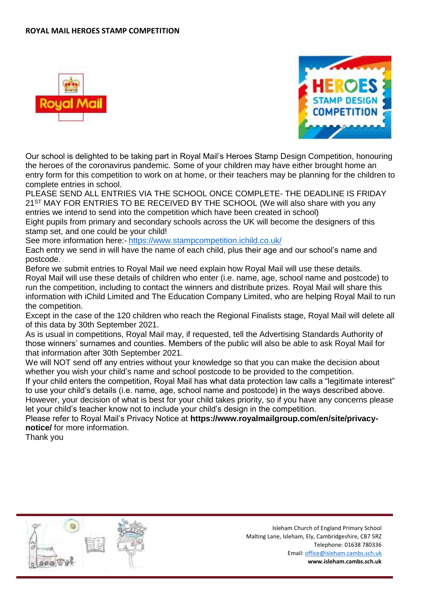#### **ROYAL MAIL HEROES STAMP COMPETITION**





Our school is delighted to be taking part in Royal Mail's Heroes Stamp Design Competition, honouring the heroes of the coronavirus pandemic. Some of your children may have either brought home an entry form for this competition to work on at home, or their teachers may be planning for the children to complete entries in school.

PLEASE SEND ALL ENTRIES VIA THE SCHOOL ONCE COMPLETE- THE DEADLINE IS FRIDAY 21<sup>ST</sup> MAY FOR ENTRIES TO BE RECEIVED BY THE SCHOOL (We will also share with you any entries we intend to send into the competition which have been created in school)

Eight pupils from primary and secondary schools across the UK will become the designers of this stamp set, and one could be your child!

See more information here:- <https://www.stampcompetition.ichild.co.uk/>

Each entry we send in will have the name of each child, plus their age and our school's name and postcode.

Before we submit entries to Royal Mail we need explain how Royal Mail will use these details. Royal Mail will use these details of children who enter (i.e. name, age, school name and postcode) to run the competition, including to contact the winners and distribute prizes. Royal Mail will share this information with iChild Limited and The Education Company Limited, who are helping Royal Mail to run the competition.

Except in the case of the 120 children who reach the Regional Finalists stage, Royal Mail will delete all of this data by 30th September 2021.

As is usual in competitions, Royal Mail may, if requested, tell the Advertising Standards Authority of those winners' surnames and counties. Members of the public will also be able to ask Royal Mail for that information after 30th September 2021.

We will NOT send off any entries without your knowledge so that you can make the decision about whether you wish your child's name and school postcode to be provided to the competition.

If your child enters the competition, Royal Mail has what data protection law calls a "legitimate interest" to use your child's details (i.e. name, age, school name and postcode) in the ways described above. However, your decision of what is best for your child takes priority, so if you have any concerns please let your child's teacher know not to include your child's design in the competition.

Please refer to Royal Mail's Privacy Notice at **https://www.royalmailgroup.com/en/site/privacynotice/** for more information.

Thank you

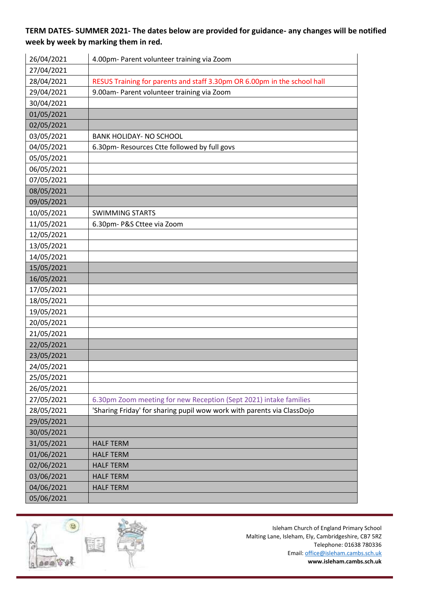# **TERM DATES- SUMMER 2021- The dates below are provided for guidance- any changes will be notified week by week by marking them in red.**

| 26/04/2021 | 4.00pm- Parent volunteer training via Zoom                               |
|------------|--------------------------------------------------------------------------|
| 27/04/2021 |                                                                          |
| 28/04/2021 | RESUS Training for parents and staff 3.30pm OR 6.00pm in the school hall |
| 29/04/2021 | 9.00am- Parent volunteer training via Zoom                               |
| 30/04/2021 |                                                                          |
| 01/05/2021 |                                                                          |
| 02/05/2021 |                                                                          |
| 03/05/2021 | <b>BANK HOLIDAY- NO SCHOOL</b>                                           |
| 04/05/2021 | 6.30pm- Resources Ctte followed by full govs                             |
| 05/05/2021 |                                                                          |
| 06/05/2021 |                                                                          |
| 07/05/2021 |                                                                          |
| 08/05/2021 |                                                                          |
| 09/05/2021 |                                                                          |
| 10/05/2021 | <b>SWIMMING STARTS</b>                                                   |
| 11/05/2021 | 6.30pm- P&S Cttee via Zoom                                               |
| 12/05/2021 |                                                                          |
| 13/05/2021 |                                                                          |
| 14/05/2021 |                                                                          |
| 15/05/2021 |                                                                          |
| 16/05/2021 |                                                                          |
| 17/05/2021 |                                                                          |
| 18/05/2021 |                                                                          |
| 19/05/2021 |                                                                          |
| 20/05/2021 |                                                                          |
| 21/05/2021 |                                                                          |
| 22/05/2021 |                                                                          |
| 23/05/2021 |                                                                          |
| 24/05/2021 |                                                                          |
| 25/05/2021 |                                                                          |
| 26/05/2021 |                                                                          |
| 27/05/2021 | 6.30pm Zoom meeting for new Reception (Sept 2021) intake families        |
| 28/05/2021 | 'Sharing Friday' for sharing pupil wow work with parents via ClassDojo   |
| 29/05/2021 |                                                                          |
| 30/05/2021 |                                                                          |
| 31/05/2021 | <b>HALF TERM</b>                                                         |
| 01/06/2021 | <b>HALF TERM</b>                                                         |
| 02/06/2021 | <b>HALF TERM</b>                                                         |
| 03/06/2021 | <b>HALF TERM</b>                                                         |
| 04/06/2021 | <b>HALF TERM</b>                                                         |
| 05/06/2021 |                                                                          |

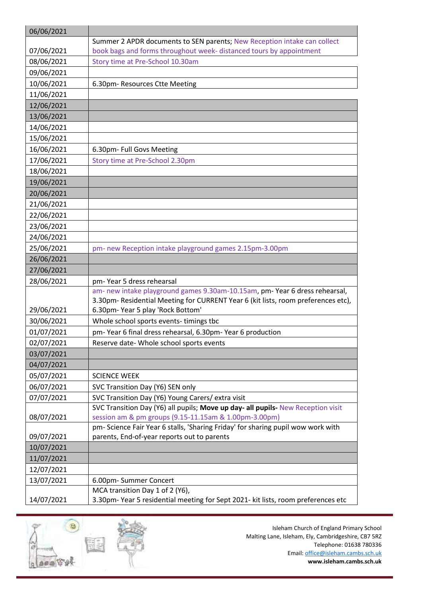| 06/06/2021 |                                                                                   |
|------------|-----------------------------------------------------------------------------------|
|            | Summer 2 APDR documents to SEN parents; New Reception intake can collect          |
| 07/06/2021 | book bags and forms throughout week- distanced tours by appointment               |
| 08/06/2021 | Story time at Pre-School 10.30am                                                  |
| 09/06/2021 |                                                                                   |
| 10/06/2021 | 6.30pm-Resources Ctte Meeting                                                     |
| 11/06/2021 |                                                                                   |
| 12/06/2021 |                                                                                   |
| 13/06/2021 |                                                                                   |
| 14/06/2021 |                                                                                   |
| 15/06/2021 |                                                                                   |
| 16/06/2021 | 6.30pm- Full Govs Meeting                                                         |
| 17/06/2021 | Story time at Pre-School 2.30pm                                                   |
| 18/06/2021 |                                                                                   |
| 19/06/2021 |                                                                                   |
| 20/06/2021 |                                                                                   |
| 21/06/2021 |                                                                                   |
| 22/06/2021 |                                                                                   |
| 23/06/2021 |                                                                                   |
| 24/06/2021 |                                                                                   |
| 25/06/2021 | pm- new Reception intake playground games 2.15pm-3.00pm                           |
| 26/06/2021 |                                                                                   |
| 27/06/2021 |                                                                                   |
| 28/06/2021 | pm-Year 5 dress rehearsal                                                         |
|            | am- new intake playground games 9.30am-10.15am, pm- Year 6 dress rehearsal,       |
|            | 3.30pm- Residential Meeting for CURRENT Year 6 (kit lists, room preferences etc), |
| 29/06/2021 | 6.30pm-Year 5 play 'Rock Bottom'                                                  |
| 30/06/2021 | Whole school sports events- timings tbc                                           |
| 01/07/2021 | pm-Year 6 final dress rehearsal, 6.30pm-Year 6 production                         |
| 02/07/2021 | Reserve date- Whole school sports events                                          |
| 03/07/2021 |                                                                                   |
| 04/07/2021 |                                                                                   |
| 05/07/2021 | <b>SCIENCE WEEK</b>                                                               |
| 06/07/2021 | SVC Transition Day (Y6) SEN only                                                  |
| 07/07/2021 | SVC Transition Day (Y6) Young Carers/ extra visit                                 |
|            | SVC Transition Day (Y6) all pupils; Move up day- all pupils- New Reception visit  |
| 08/07/2021 | session am & pm groups (9.15-11.15am & 1.00pm-3.00pm)                             |
|            | pm- Science Fair Year 6 stalls, 'Sharing Friday' for sharing pupil wow work with  |
| 09/07/2021 | parents, End-of-year reports out to parents                                       |
| 10/07/2021 |                                                                                   |
| 11/07/2021 |                                                                                   |
| 12/07/2021 |                                                                                   |
| 13/07/2021 | 6.00pm-Summer Concert                                                             |
|            | MCA transition Day 1 of 2 (Y6),                                                   |
| 14/07/2021 | 3.30pm-Year 5 residential meeting for Sept 2021- kit lists, room preferences etc  |